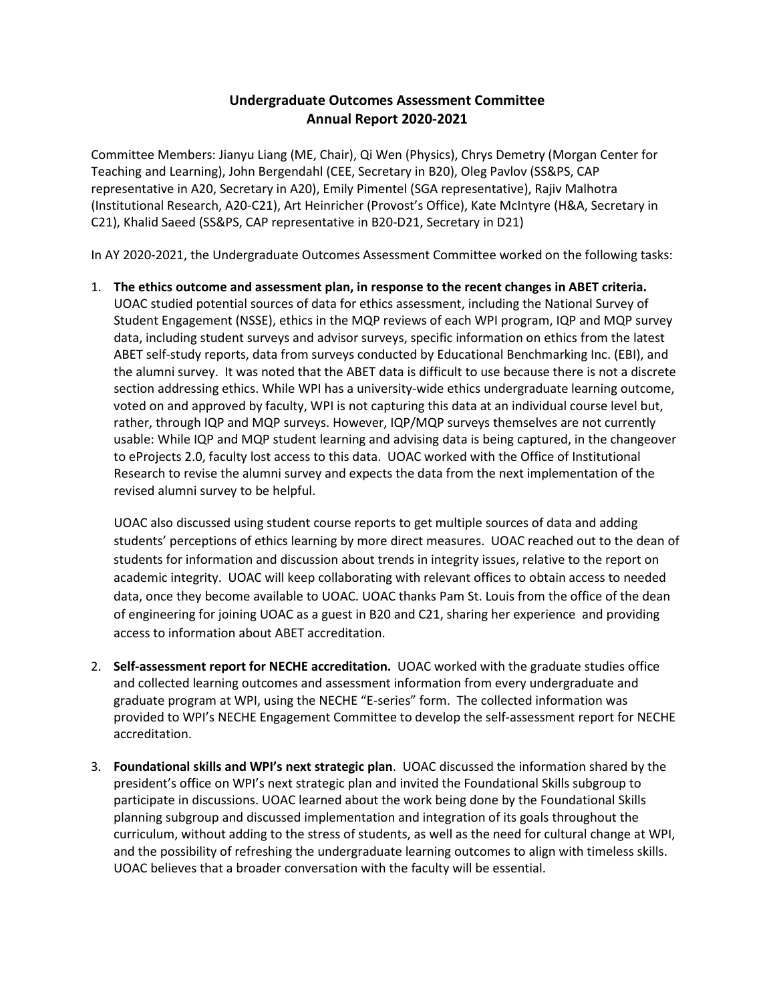## **Undergraduate Outcomes Assessment Committee Annual Report 2020-2021**

Committee Members: Jianyu Liang (ME, Chair), Qi Wen (Physics), Chrys Demetry (Morgan Center for Teaching and Learning), John Bergendahl (CEE, Secretary in B20), Oleg Pavlov (SS&PS, CAP representative in A20, Secretary in A20), Emily Pimentel (SGA representative), Rajiv Malhotra (Institutional Research, A20-C21), Art Heinricher (Provost's Office), Kate McIntyre (H&A, Secretary in C21), Khalid Saeed (SS&PS, CAP representative in B20-D21, Secretary in D21)

In AY 2020-2021, the Undergraduate Outcomes Assessment Committee worked on the following tasks:

1. **The ethics outcome and assessment plan, in response to the recent changes in ABET criteria.** UOAC studied potential sources of data for ethics assessment, including the National Survey of Student Engagement (NSSE), ethics in the MQP reviews of each WPI program, IQP and MQP survey data, including student surveys and advisor surveys, specific information on ethics from the latest ABET self-study reports, data from surveys conducted by Educational Benchmarking Inc. (EBI), and the alumni survey. It was noted that the ABET data is difficult to use because there is not a discrete section addressing ethics. While WPI has a university-wide ethics undergraduate learning outcome, voted on and approved by faculty, WPI is not capturing this data at an individual course level but, rather, through IQP and MQP surveys. However, IQP/MQP surveys themselves are not currently usable: While IQP and MQP student learning and advising data is being captured, in the changeover to eProjects 2.0, faculty lost access to this data. UOAC worked with the Office of Institutional Research to revise the alumni survey and expects the data from the next implementation of the revised alumni survey to be helpful.

UOAC also discussed using student course reports to get multiple sources of data and adding students' perceptions of ethics learning by more direct measures. UOAC reached out to the dean of students for information and discussion about trends in integrity issues, relative to the report on academic integrity. UOAC will keep collaborating with relevant offices to obtain access to needed data, once they become available to UOAC. UOAC thanks Pam St. Louis from the office of the dean of engineering for joining UOAC as a guest in B20 and C21, sharing her experience and providing access to information about ABET accreditation.

- 2. **Self-assessment report for NECHE accreditation.** UOAC worked with the graduate studies office and collected learning outcomes and assessment information from every undergraduate and graduate program at WPI, using the NECHE "E-series" form. The collected information was provided to WPI's NECHE Engagement Committee to develop the self-assessment report for NECHE accreditation.
- 3. **Foundational skills and WPI's next strategic plan**. UOAC discussed the information shared by the president's office on WPI's next strategic plan and invited the Foundational Skills subgroup to participate in discussions. UOAC learned about the work being done by the Foundational Skills planning subgroup and discussed implementation and integration of its goals throughout the curriculum, without adding to the stress of students, as well as the need for cultural change at WPI, and the possibility of refreshing the undergraduate learning outcomes to align with timeless skills. UOAC believes that a broader conversation with the faculty will be essential.